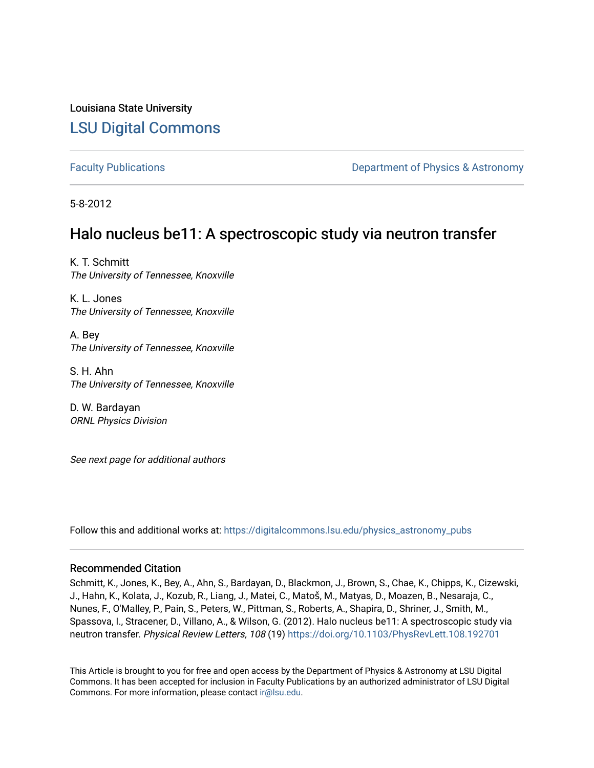## Louisiana State University [LSU Digital Commons](https://digitalcommons.lsu.edu/)

[Faculty Publications](https://digitalcommons.lsu.edu/physics_astronomy_pubs) **Example 2** Constant Department of Physics & Astronomy

5-8-2012

## Halo nucleus be11: A spectroscopic study via neutron transfer

K. T. Schmitt The University of Tennessee, Knoxville

K. L. Jones The University of Tennessee, Knoxville

A. Bey The University of Tennessee, Knoxville

S. H. Ahn The University of Tennessee, Knoxville

D. W. Bardayan ORNL Physics Division

See next page for additional authors

Follow this and additional works at: [https://digitalcommons.lsu.edu/physics\\_astronomy\\_pubs](https://digitalcommons.lsu.edu/physics_astronomy_pubs?utm_source=digitalcommons.lsu.edu%2Fphysics_astronomy_pubs%2F260&utm_medium=PDF&utm_campaign=PDFCoverPages) 

#### Recommended Citation

Schmitt, K., Jones, K., Bey, A., Ahn, S., Bardayan, D., Blackmon, J., Brown, S., Chae, K., Chipps, K., Cizewski, J., Hahn, K., Kolata, J., Kozub, R., Liang, J., Matei, C., Matoš, M., Matyas, D., Moazen, B., Nesaraja, C., Nunes, F., O'Malley, P., Pain, S., Peters, W., Pittman, S., Roberts, A., Shapira, D., Shriner, J., Smith, M., Spassova, I., Stracener, D., Villano, A., & Wilson, G. (2012). Halo nucleus be11: A spectroscopic study via neutron transfer. Physical Review Letters, 108 (19) <https://doi.org/10.1103/PhysRevLett.108.192701>

This Article is brought to you for free and open access by the Department of Physics & Astronomy at LSU Digital Commons. It has been accepted for inclusion in Faculty Publications by an authorized administrator of LSU Digital Commons. For more information, please contact [ir@lsu.edu](mailto:ir@lsu.edu).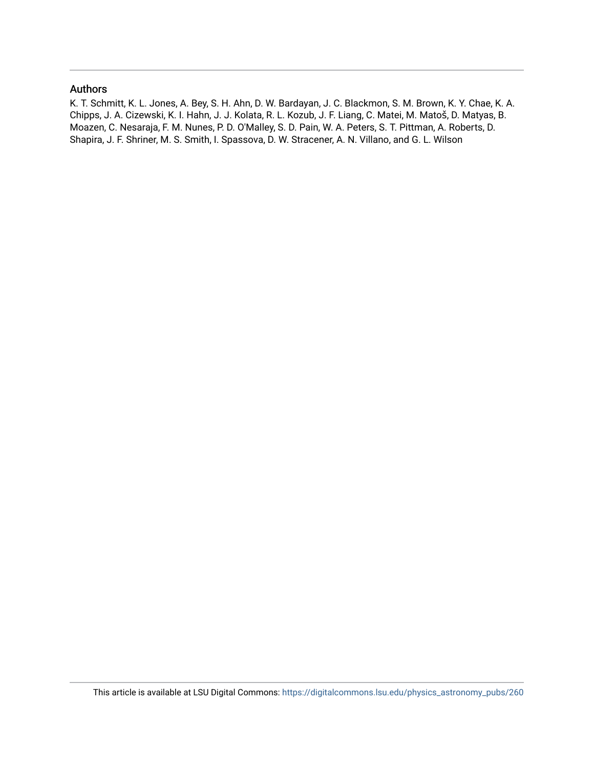#### Authors

K. T. Schmitt, K. L. Jones, A. Bey, S. H. Ahn, D. W. Bardayan, J. C. Blackmon, S. M. Brown, K. Y. Chae, K. A. Chipps, J. A. Cizewski, K. I. Hahn, J. J. Kolata, R. L. Kozub, J. F. Liang, C. Matei, M. Matoš, D. Matyas, B. Moazen, C. Nesaraja, F. M. Nunes, P. D. O'Malley, S. D. Pain, W. A. Peters, S. T. Pittman, A. Roberts, D. Shapira, J. F. Shriner, M. S. Smith, I. Spassova, D. W. Stracener, A. N. Villano, and G. L. Wilson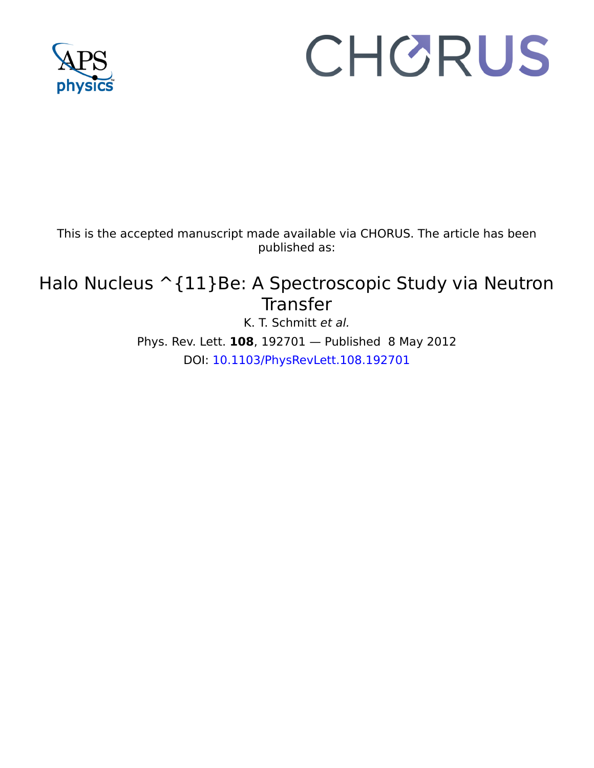

# CHORUS

This is the accepted manuscript made available via CHORUS. The article has been published as:

# Halo Nucleus ^{11}Be: A Spectroscopic Study via Neutron Transfer

K. T. Schmitt et al. Phys. Rev. Lett. **108**, 192701 — Published 8 May 2012 DOI: [10.1103/PhysRevLett.108.192701](http://dx.doi.org/10.1103/PhysRevLett.108.192701)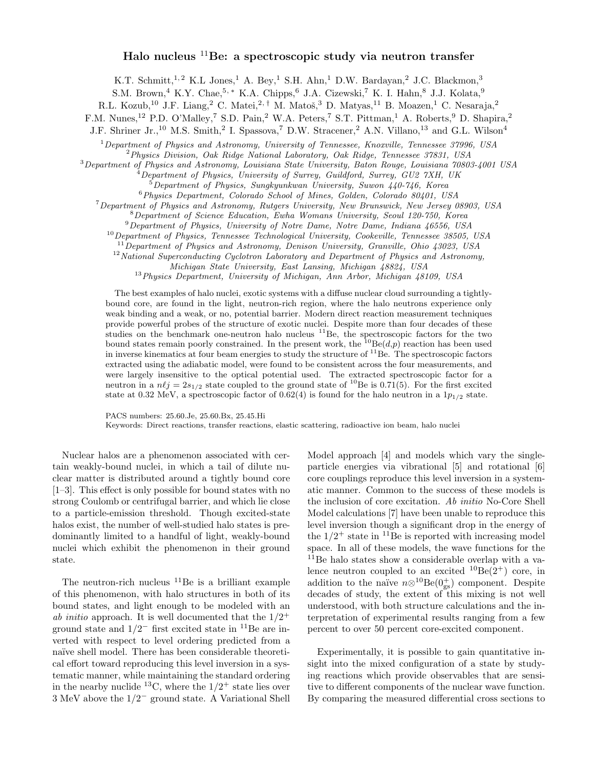#### Halo nucleus  ${}^{11}$ Be: a spectroscopic study via neutron transfer

K.T. Schmitt,<sup>1,2</sup> K.L Jones,<sup>1</sup> A. Bey,<sup>1</sup> S.H. Ahn,<sup>1</sup> D.W. Bardayan,<sup>2</sup> J.C. Blackmon,<sup>3</sup>

S.M. Brown,<sup>4</sup> K.Y. Chae,<sup>5,\*</sup> K.A. Chipps,<sup>6</sup> J.A. Cizewski,<sup>7</sup> K. I. Hahn,<sup>8</sup> J.J. Kolata,<sup>9</sup>

R.L. Kozub,<sup>10</sup> J.F. Liang,<sup>2</sup> C. Matei,<sup>2,†</sup> M. Matoš,<sup>3</sup> D. Matyas,<sup>11</sup> B. Moazen,<sup>1</sup> C. Nesaraja,<sup>2</sup>

F.M. Nunes,<sup>12</sup> P.D. O'Malley,<sup>7</sup> S.D. Pain,<sup>2</sup> W.A. Peters,<sup>7</sup> S.T. Pittman,<sup>1</sup> A. Roberts,<sup>9</sup> D. Shapira,<sup>2</sup>

J.F. Shriner Jr.,<sup>10</sup> M.S. Smith,<sup>2</sup> I. Spassova,<sup>7</sup> D.W. Stracener,<sup>2</sup> A.N. Villano,<sup>13</sup> and G.L. Wilson<sup>4</sup>

 $1$  Department of Physics and Astronomy, University of Tennessee, Knoxville, Tennessee 37996, USA

<sup>2</sup>Physics Division, Oak Ridge National Laboratory, Oak Ridge, Tennessee 37831, USA

<sup>3</sup>Department of Physics and Astronomy, Louisiana State University, Baton Rouge, Louisiana 70803-4001 USA

<sup>4</sup>Department of Physics, University of Surrey, Guildford, Surrey, GU2 7XH, UK

 $5$ Department of Physics, Sungkyunkwan University, Suwon  $440-746$ , Korea

<sup>6</sup>Physics Department, Colorado School of Mines, Golden, Colorado 80401, USA

<sup>7</sup>Department of Physics and Astronomy, Rutgers University, New Brunswick, New Jersey 08903, USA

<sup>8</sup>Department of Science Education, Ewha Womans University, Seoul 120-750, Korea

<sup>9</sup>Department of Physics, University of Notre Dame, Notre Dame, Indiana 46556, USA

<sup>10</sup> Department of Physics, Tennessee Technological University, Cookeville, Tennessee 38505, USA

 $11$ Department of Physics and Astronomy, Denison University, Granville, Ohio 43023, USA  $12$ National Superconducting Cyclotron Laboratory and Department of Physics and Astronomy,

Michigan State University, East Lansing, Michigan 48824, USA

<sup>13</sup> Physics Department, University of Michigan, Ann Arbor, Michigan 48109, USA

The best examples of halo nuclei, exotic systems with a diffuse nuclear cloud surrounding a tightlybound core, are found in the light, neutron-rich region, where the halo neutrons experience only weak binding and a weak, or no, potential barrier. Modern direct reaction measurement techniques provide powerful probes of the structure of exotic nuclei. Despite more than four decades of these studies on the benchmark one-neutron halo nucleus  ${}^{11}$ Be, the spectroscopic factors for the two bound states remain poorly constrained. In the present work, the  ${}^{10}Be(d,p)$  reaction has been used in inverse kinematics at four beam energies to study the structure of  $11\text{Be}$ . The spectroscopic factors extracted using the adiabatic model, were found to be consistent across the four measurements, and were largely insensitive to the optical potential used. The extracted spectroscopic factor for a neutron in a  $n\ell j = 2s_{1/2}$  state coupled to the ground state of <sup>10</sup>Be is 0.71(5). For the first excited state at 0.32 MeV, a spectroscopic factor of 0.62(4) is found for the halo neutron in a  $1p_{1/2}$  state.

PACS numbers: 25.60.Je, 25.60.Bx, 25.45.Hi

Keywords: Direct reactions, transfer reactions, elastic scattering, radioactive ion beam, halo nuclei

Nuclear halos are a phenomenon associated with certain weakly-bound nuclei, in which a tail of dilute nuclear matter is distributed around a tightly bound core [1–3]. This effect is only possible for bound states with no strong Coulomb or centrifugal barrier, and which lie close to a particle-emission threshold. Though excited-state halos exist, the number of well-studied halo states is predominantly limited to a handful of light, weakly-bound nuclei which exhibit the phenomenon in their ground state.

The neutron-rich nucleus  $11Be$  is a brilliant example of this phenomenon, with halo structures in both of its bound states, and light enough to be modeled with an ab initio approach. It is well documented that the  $1/2^+$ ground state and  $1/2^-$  first excited state in <sup>11</sup>Be are inverted with respect to level ordering predicted from a naïve shell model. There has been considerable theoretical effort toward reproducing this level inversion in a systematic manner, while maintaining the standard ordering in the nearby nuclide <sup>13</sup>C, where the  $1/2^+$  state lies over 3 MeV above the 1/2<sup>−</sup> ground state. A Variational Shell

Model approach [4] and models which vary the singleparticle energies via vibrational [5] and rotational [6] core couplings reproduce this level inversion in a systematic manner. Common to the success of these models is the inclusion of core excitation. Ab initio No-Core Shell Model calculations [7] have been unable to reproduce this level inversion though a significant drop in the energy of the  $1/2^+$  state in <sup>11</sup>Be is reported with increasing model space. In all of these models, the wave functions for the <sup>11</sup>Be halo states show a considerable overlap with a valence neutron coupled to an excited  ${}^{10}Be(2^+)$  core, in addition to the naïve  $n \otimes^{10} \text{Be}(0^+_{gs})$  component. Despite decades of study, the extent of this mixing is not well understood, with both structure calculations and the interpretation of experimental results ranging from a few percent to over 50 percent core-excited component.

Experimentally, it is possible to gain quantitative insight into the mixed configuration of a state by studying reactions which provide observables that are sensitive to different components of the nuclear wave function. By comparing the measured differential cross sections to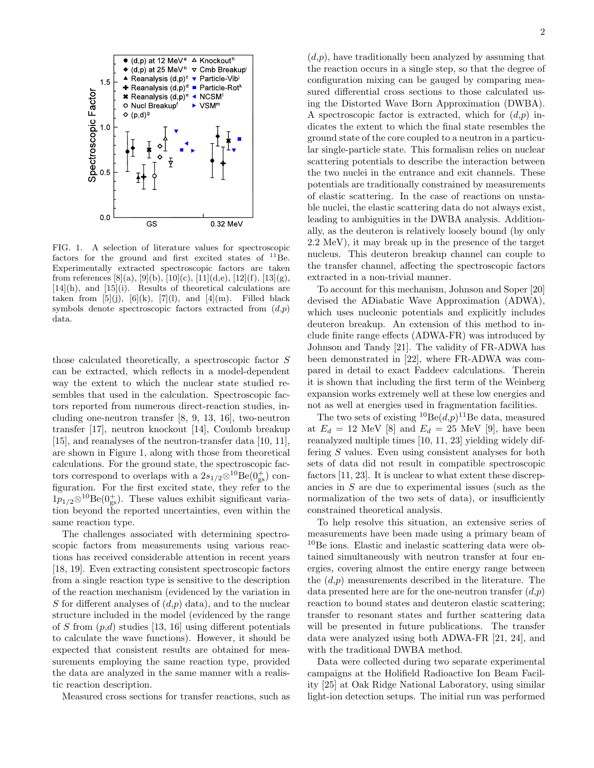

FIG. 1. A selection of literature values for spectroscopic factors for the ground and first excited states of  $^{11}$ Be. Experimentally extracted spectroscopic factors are taken from references [8](a), [9](b), [10](c), [11](d,e), [12](f), [13](g),  $[14](h)$ , and  $[15](i)$ . Results of theoretical calculations are taken from  $[5](j)$ ,  $[6](k)$ ,  $[7](l)$ , and  $[4](m)$ . Filled black symbols denote spectroscopic factors extracted from  $(d,p)$ data.

those calculated theoretically, a spectroscopic factor S can be extracted, which reflects in a model-dependent way the extent to which the nuclear state studied resembles that used in the calculation. Spectroscopic factors reported from numerous direct-reaction studies, including one-neutron transfer [8, 9, 13, 16], two-neutron transfer [17], neutron knockout [14], Coulomb breakup [15], and reanalyses of the neutron-transfer data [10, 11], are shown in Figure 1, along with those from theoretical calculations. For the ground state, the spectroscopic factors correspond to overlaps with a  $2s_{1/2} \otimes 10^{\circ}$ Be $(0^+_{gs})$  configuration. For the first excited state, they refer to the  $1p_{1/2} \otimes^{10} \text{Be}(0^+_{gs})$ . These values exhibit significant variation beyond the reported uncertainties, even within the same reaction type.

The challenges associated with determining spectroscopic factors from measurements using various reactions has received considerable attention in recent years [18, 19]. Even extracting consistent spectroscopic factors from a single reaction type is sensitive to the description of the reaction mechanism (evidenced by the variation in S for different analyses of  $(d,p)$  data), and to the nuclear structure included in the model (evidenced by the range of S from  $(p,d)$  studies [13, 16] using different potentials to calculate the wave functions). However, it should be expected that consistent results are obtained for measurements employing the same reaction type, provided the data are analyzed in the same manner with a realistic reaction description.

Measured cross sections for transfer reactions, such as

 $(d,p)$ , have traditionally been analyzed by assuming that the reaction occurs in a single step, so that the degree of configuration mixing can be gauged by comparing measured differential cross sections to those calculated using the Distorted Wave Born Approximation (DWBA). A spectroscopic factor is extracted, which for  $(d,p)$  indicates the extent to which the final state resembles the ground state of the core coupled to a neutron in a particular single-particle state. This formalism relies on nuclear scattering potentials to describe the interaction between the two nuclei in the entrance and exit channels. These potentials are traditionally constrained by measurements of elastic scattering. In the case of reactions on unstable nuclei, the elastic scattering data do not always exist, leading to ambiguities in the DWBA analysis. Additionally, as the deuteron is relatively loosely bound (by only 2.2 MeV), it may break up in the presence of the target nucleus. This deuteron breakup channel can couple to the transfer channel, affecting the spectroscopic factors extracted in a non-trivial manner.

To account for this mechanism, Johnson and Soper [20] devised the ADiabatic Wave Approximation (ADWA), which uses nucleonic potentials and explicitly includes deuteron breakup. An extension of this method to include finite range effects (ADWA-FR) was introduced by Johnson and Tandy [21]. The validity of FR-ADWA has been demonstrated in [22], where FR-ADWA was compared in detail to exact Faddeev calculations. Therein it is shown that including the first term of the Weinberg expansion works extremely well at these low energies and not as well at energies used in fragmentation facilities.

The two sets of existing  ${}^{10}$ Be $(d,p)$ <sup>11</sup>Be data, measured at  $E_d = 12$  MeV [8] and  $E_d = 25$  MeV [9], have been reanalyzed multiple times [10, 11, 23] yielding widely differing S values. Even using consistent analyses for both sets of data did not result in compatible spectroscopic factors [11, 23]. It is unclear to what extent these discrepancies in S are due to experimental issues (such as the normalization of the two sets of data), or insufficiently constrained theoretical analysis.

To help resolve this situation, an extensive series of measurements have been made using a primary beam of <sup>10</sup>Be ions. Elastic and inelastic scattering data were obtained simultaneously with neutron transfer at four energies, covering almost the entire energy range between the  $(d,p)$  measurements described in the literature. The data presented here are for the one-neutron transfer  $(d,p)$ reaction to bound states and deuteron elastic scattering; transfer to resonant states and further scattering data will be presented in future publications. The transfer data were analyzed using both ADWA-FR [21, 24], and with the traditional DWBA method.

Data were collected during two separate experimental campaigns at the Holifield Radioactive Ion Beam Facility [25] at Oak Ridge National Laboratory, using similar light-ion detection setups. The initial run was performed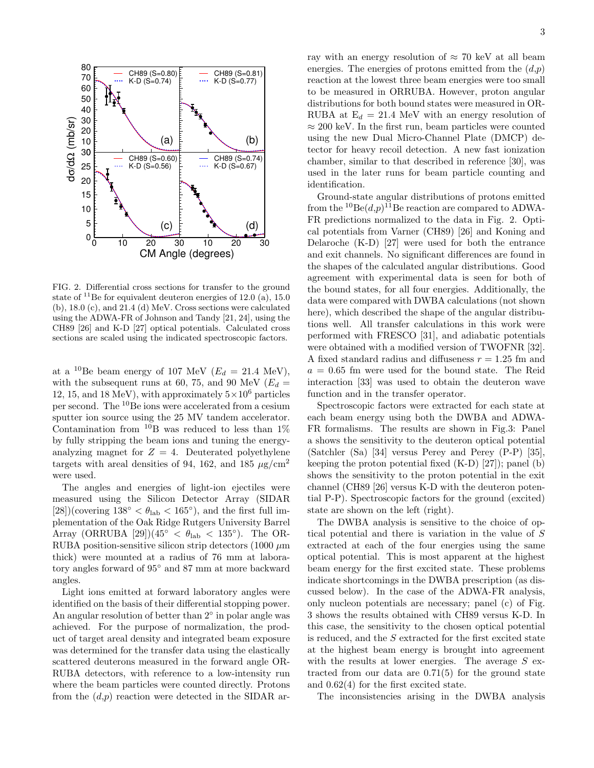

FIG. 2. Differential cross sections for transfer to the ground state of  $^{11}$ Be for equivalent deuteron energies of 12.0 (a), 15.0 (b), 18.0 (c), and 21.4 (d) MeV. Cross sections were calculated using the ADWA-FR of Johnson and Tandy [21, 24], using the CH89 [26] and K-D [27] optical potentials. Calculated cross sections are scaled using the indicated spectroscopic factors.

at a <sup>10</sup>Be beam energy of 107 MeV ( $E_d = 21.4$  MeV), with the subsequent runs at 60, 75, and 90 MeV ( $E_d =$ 12, 15, and 18 MeV), with approximately  $5 \times 10^6$  particles per second. The <sup>10</sup>Be ions were accelerated from a cesium sputter ion source using the 25 MV tandem accelerator. Contamination from  $^{10}B$  was reduced to less than  $1\%$ by fully stripping the beam ions and tuning the energyanalyzing magnet for  $Z = 4$ . Deuterated polyethylene targets with areal densities of 94, 162, and 185  $\mu$ g/cm<sup>2</sup> were used.

The angles and energies of light-ion ejectiles were measured using the Silicon Detector Array (SIDAR [28])(covering  $138° < \theta_{\rm lab} < 165°$ ), and the first full implementation of the Oak Ridge Rutgers University Barrel Array (ORRUBA [29])( $45° < \theta_{lab} < 135°$ ). The OR-RUBA position-sensitive silicon strip detectors  $(1000 \ \mu m)$ thick) were mounted at a radius of 76 mm at laboratory angles forward of 95◦ and 87 mm at more backward angles.

Light ions emitted at forward laboratory angles were identified on the basis of their differential stopping power. An angular resolution of better than 2<sup>°</sup> in polar angle was achieved. For the purpose of normalization, the product of target areal density and integrated beam exposure was determined for the transfer data using the elastically scattered deuterons measured in the forward angle OR-RUBA detectors, with reference to a low-intensity run where the beam particles were counted directly. Protons from the  $(d,p)$  reaction were detected in the SIDAR array with an energy resolution of  $\approx 70$  keV at all beam energies. The energies of protons emitted from the  $(d,p)$ reaction at the lowest three beam energies were too small to be measured in ORRUBA. However, proton angular distributions for both bound states were measured in OR-RUBA at  $E_d = 21.4$  MeV with an energy resolution of  $\approx 200$  keV. In the first run, beam particles were counted using the new Dual Micro-Channel Plate (DMCP) detector for heavy recoil detection. A new fast ionization chamber, similar to that described in reference [30], was used in the later runs for beam particle counting and identification.

Ground-state angular distributions of protons emitted from the  ${}^{10}$ Be $(d,p)$ <sup>11</sup>Be reaction are compared to ADWA-FR predictions normalized to the data in Fig. 2. Optical potentials from Varner (CH89) [26] and Koning and Delaroche (K-D) [27] were used for both the entrance and exit channels. No significant differences are found in the shapes of the calculated angular distributions. Good agreement with experimental data is seen for both of the bound states, for all four energies. Additionally, the data were compared with DWBA calculations (not shown here), which described the shape of the angular distributions well. All transfer calculations in this work were performed with FRESCO [31], and adiabatic potentials were obtained with a modified version of TWOFNR [32]. A fixed standard radius and diffuseness  $r = 1.25$  fm and  $a = 0.65$  fm were used for the bound state. The Reid interaction [33] was used to obtain the deuteron wave function and in the transfer operator.

Spectroscopic factors were extracted for each state at each beam energy using both the DWBA and ADWA-FR formalisms. The results are shown in Fig.3: Panel a shows the sensitivity to the deuteron optical potential (Satchler (Sa) [34] versus Perey and Perey (P-P) [35], keeping the proton potential fixed (K-D) [27]); panel (b) shows the sensitivity to the proton potential in the exit channel (CH89 [26] versus K-D with the deuteron potential P-P). Spectroscopic factors for the ground (excited) state are shown on the left (right).

The DWBA analysis is sensitive to the choice of optical potential and there is variation in the value of S extracted at each of the four energies using the same optical potential. This is most apparent at the highest beam energy for the first excited state. These problems indicate shortcomings in the DWBA prescription (as discussed below). In the case of the ADWA-FR analysis, only nucleon potentials are necessary; panel (c) of Fig. 3 shows the results obtained with CH89 versus K-D. In this case, the sensitivity to the chosen optical potential is reduced, and the S extracted for the first excited state at the highest beam energy is brought into agreement with the results at lower energies. The average  $S$  extracted from our data are 0.71(5) for the ground state and 0.62(4) for the first excited state.

The inconsistencies arising in the DWBA analysis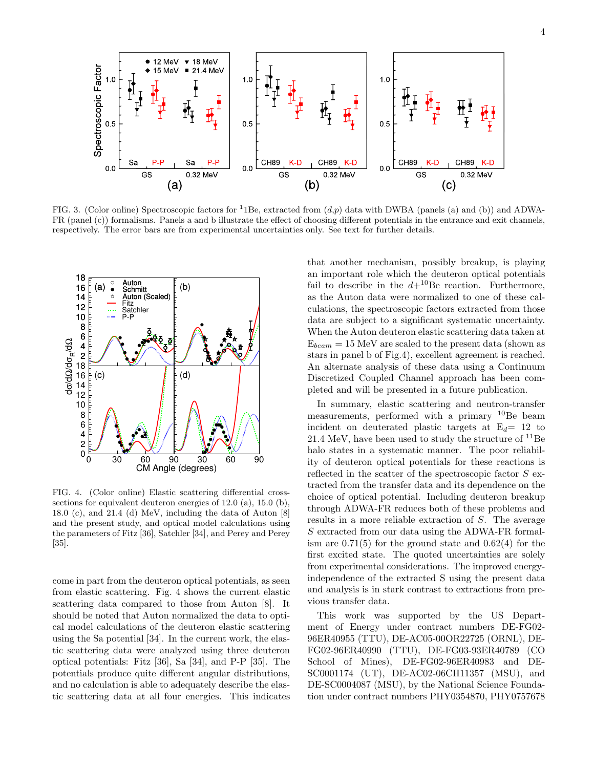

FIG. 3. (Color online) Spectroscopic factors for <sup>1</sup>1Be, extracted from  $(d,p)$  data with DWBA (panels (a) and (b)) and ADWA-FR (panel (c)) formalisms. Panels a and b illustrate the effect of choosing different potentials in the entrance and exit channels, respectively. The error bars are from experimental uncertainties only. See text for further details.



FIG. 4. (Color online) Elastic scattering differential crosssections for equivalent deuteron energies of 12.0 (a), 15.0 (b), 18.0 (c), and 21.4 (d) MeV, including the data of Auton [8] and the present study, and optical model calculations using the parameters of Fitz [36], Satchler [34], and Perey and Perey [35].

come in part from the deuteron optical potentials, as seen from elastic scattering. Fig. 4 shows the current elastic scattering data compared to those from Auton [8]. It should be noted that Auton normalized the data to optical model calculations of the deuteron elastic scattering using the Sa potential [34]. In the current work, the elastic scattering data were analyzed using three deuteron optical potentials: Fitz [36], Sa [34], and P-P [35]. The potentials produce quite different angular distributions, and no calculation is able to adequately describe the elastic scattering data at all four energies. This indicates

that another mechanism, possibly breakup, is playing an important role which the deuteron optical potentials fail to describe in the  $d+{}^{10}$ Be reaction. Furthermore, as the Auton data were normalized to one of these calculations, the spectroscopic factors extracted from those data are subject to a significant systematic uncertainty. When the Auton deuteron elastic scattering data taken at  $E_{beam} = 15$  MeV are scaled to the present data (shown as stars in panel b of Fig.4), excellent agreement is reached. An alternate analysis of these data using a Continuum Discretized Coupled Channel approach has been completed and will be presented in a future publication.

In summary, elastic scattering and neutron-transfer measurements, performed with a primary <sup>10</sup>Be beam incident on deuterated plastic targets at  $E_d= 12$  to 21.4 MeV, have been used to study the structure of  $^{11}$ Be halo states in a systematic manner. The poor reliability of deuteron optical potentials for these reactions is reflected in the scatter of the spectroscopic factor  $S$  extracted from the transfer data and its dependence on the choice of optical potential. Including deuteron breakup through ADWA-FR reduces both of these problems and results in a more reliable extraction of S. The average S extracted from our data using the ADWA-FR formalism are  $0.71(5)$  for the ground state and  $0.62(4)$  for the first excited state. The quoted uncertainties are solely from experimental considerations. The improved energyindependence of the extracted S using the present data and analysis is in stark contrast to extractions from previous transfer data.

This work was supported by the US Department of Energy under contract numbers DE-FG02- 96ER40955 (TTU), DE-AC05-00OR22725 (ORNL), DE-FG02-96ER40990 (TTU), DE-FG03-93ER40789 (CO School of Mines), DE-FG02-96ER40983 and DE-SC0001174 (UT), DE-AC02-06CH11357 (MSU), and DE-SC0004087 (MSU), by the National Science Foundation under contract numbers PHY0354870, PHY0757678